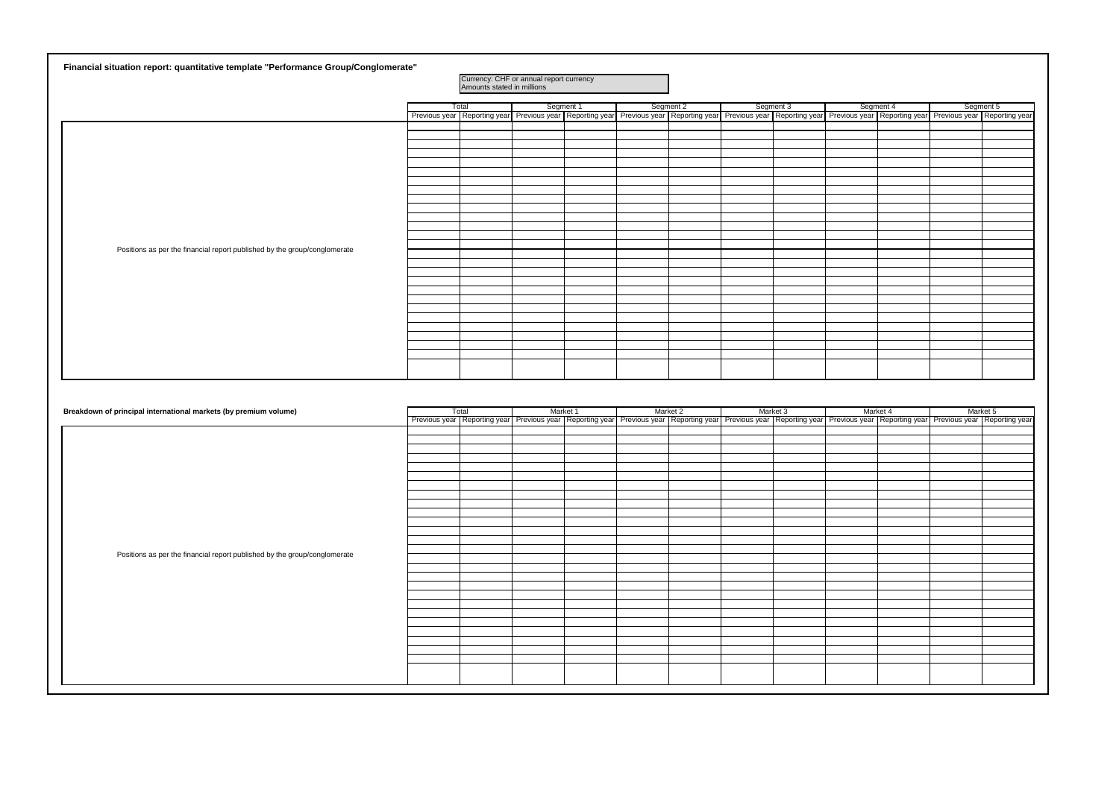| Financial situation report: quantitative template "Performance Group/Conglomerate" |                                                                       |           |  |           |                                                                                                                                                                                            |           |           |
|------------------------------------------------------------------------------------|-----------------------------------------------------------------------|-----------|--|-----------|--------------------------------------------------------------------------------------------------------------------------------------------------------------------------------------------|-----------|-----------|
|                                                                                    | Currency: CHF or annual report currency<br>Amounts stated in millions |           |  |           |                                                                                                                                                                                            |           |           |
|                                                                                    | Total                                                                 | Segment 1 |  | Segment 2 | Segment 3                                                                                                                                                                                  | Segment 4 | Segment 5 |
|                                                                                    |                                                                       |           |  |           | Previous year Reporting year Previous year Reporting year Previous year Reporting year Previous year Previous year Reporting year Previous year Previous year Previous year Reporting year |           |           |
|                                                                                    |                                                                       |           |  |           |                                                                                                                                                                                            |           |           |
|                                                                                    |                                                                       |           |  |           |                                                                                                                                                                                            |           |           |
|                                                                                    |                                                                       |           |  |           |                                                                                                                                                                                            |           |           |
|                                                                                    |                                                                       |           |  |           |                                                                                                                                                                                            |           |           |
|                                                                                    |                                                                       |           |  |           |                                                                                                                                                                                            |           |           |
|                                                                                    |                                                                       |           |  |           |                                                                                                                                                                                            |           |           |
|                                                                                    |                                                                       |           |  |           |                                                                                                                                                                                            |           |           |
|                                                                                    |                                                                       |           |  |           |                                                                                                                                                                                            |           |           |
|                                                                                    |                                                                       |           |  |           |                                                                                                                                                                                            |           |           |
|                                                                                    |                                                                       |           |  |           |                                                                                                                                                                                            |           |           |
|                                                                                    |                                                                       |           |  |           |                                                                                                                                                                                            |           |           |
| Positions as per the financial report published by the group/conglomerate          |                                                                       |           |  |           |                                                                                                                                                                                            |           |           |
|                                                                                    |                                                                       |           |  |           |                                                                                                                                                                                            |           |           |
|                                                                                    |                                                                       |           |  |           |                                                                                                                                                                                            |           |           |
|                                                                                    |                                                                       |           |  |           |                                                                                                                                                                                            |           |           |
|                                                                                    |                                                                       |           |  |           |                                                                                                                                                                                            |           |           |
|                                                                                    |                                                                       |           |  |           |                                                                                                                                                                                            |           |           |
|                                                                                    |                                                                       |           |  |           |                                                                                                                                                                                            |           |           |
|                                                                                    |                                                                       |           |  |           |                                                                                                                                                                                            |           |           |
|                                                                                    |                                                                       |           |  |           |                                                                                                                                                                                            |           |           |
|                                                                                    |                                                                       |           |  |           |                                                                                                                                                                                            |           |           |
|                                                                                    |                                                                       |           |  |           |                                                                                                                                                                                            |           |           |
|                                                                                    |                                                                       |           |  |           |                                                                                                                                                                                            |           |           |
|                                                                                    |                                                                       |           |  |           |                                                                                                                                                                                            |           |           |
|                                                                                    |                                                                       |           |  |           |                                                                                                                                                                                            |           |           |
|                                                                                    |                                                                       |           |  |           |                                                                                                                                                                                            |           |           |

| Breakdown of principal international markets (by premium volume)          | Total | Market 1 | Market 2 | Market 3                                                                                                                                                                                  | Market 4 | Market 5 |
|---------------------------------------------------------------------------|-------|----------|----------|-------------------------------------------------------------------------------------------------------------------------------------------------------------------------------------------|----------|----------|
|                                                                           |       |          |          | Previous year Reporting year Previous year Reporting year Previous year Reporting year   Reporting year   Previous year   Reporting year   Previous year   Previous year   Reporting year |          |          |
|                                                                           |       |          |          |                                                                                                                                                                                           |          |          |
|                                                                           |       |          |          |                                                                                                                                                                                           |          |          |
|                                                                           |       |          |          |                                                                                                                                                                                           |          |          |
|                                                                           |       |          |          |                                                                                                                                                                                           |          |          |
|                                                                           |       |          |          |                                                                                                                                                                                           |          |          |
|                                                                           |       |          |          |                                                                                                                                                                                           |          |          |
|                                                                           |       |          |          |                                                                                                                                                                                           |          |          |
|                                                                           |       |          |          |                                                                                                                                                                                           |          |          |
|                                                                           |       |          |          |                                                                                                                                                                                           |          |          |
|                                                                           |       |          |          |                                                                                                                                                                                           |          |          |
|                                                                           |       |          |          |                                                                                                                                                                                           |          |          |
|                                                                           |       |          |          |                                                                                                                                                                                           |          |          |
|                                                                           |       |          |          |                                                                                                                                                                                           |          |          |
| Positions as per the financial report published by the group/conglomerate |       |          |          |                                                                                                                                                                                           |          |          |
|                                                                           |       |          |          |                                                                                                                                                                                           |          |          |
|                                                                           |       |          |          |                                                                                                                                                                                           |          |          |
|                                                                           |       |          |          |                                                                                                                                                                                           |          |          |
|                                                                           |       |          |          |                                                                                                                                                                                           |          |          |
|                                                                           |       |          |          |                                                                                                                                                                                           |          |          |
|                                                                           |       |          |          |                                                                                                                                                                                           |          |          |
|                                                                           |       |          |          |                                                                                                                                                                                           |          |          |
|                                                                           |       |          |          |                                                                                                                                                                                           |          |          |
|                                                                           |       |          |          |                                                                                                                                                                                           |          |          |
|                                                                           |       |          |          |                                                                                                                                                                                           |          |          |
|                                                                           |       |          |          |                                                                                                                                                                                           |          |          |
|                                                                           |       |          |          |                                                                                                                                                                                           |          |          |
|                                                                           |       |          |          |                                                                                                                                                                                           |          |          |
|                                                                           |       |          |          |                                                                                                                                                                                           |          |          |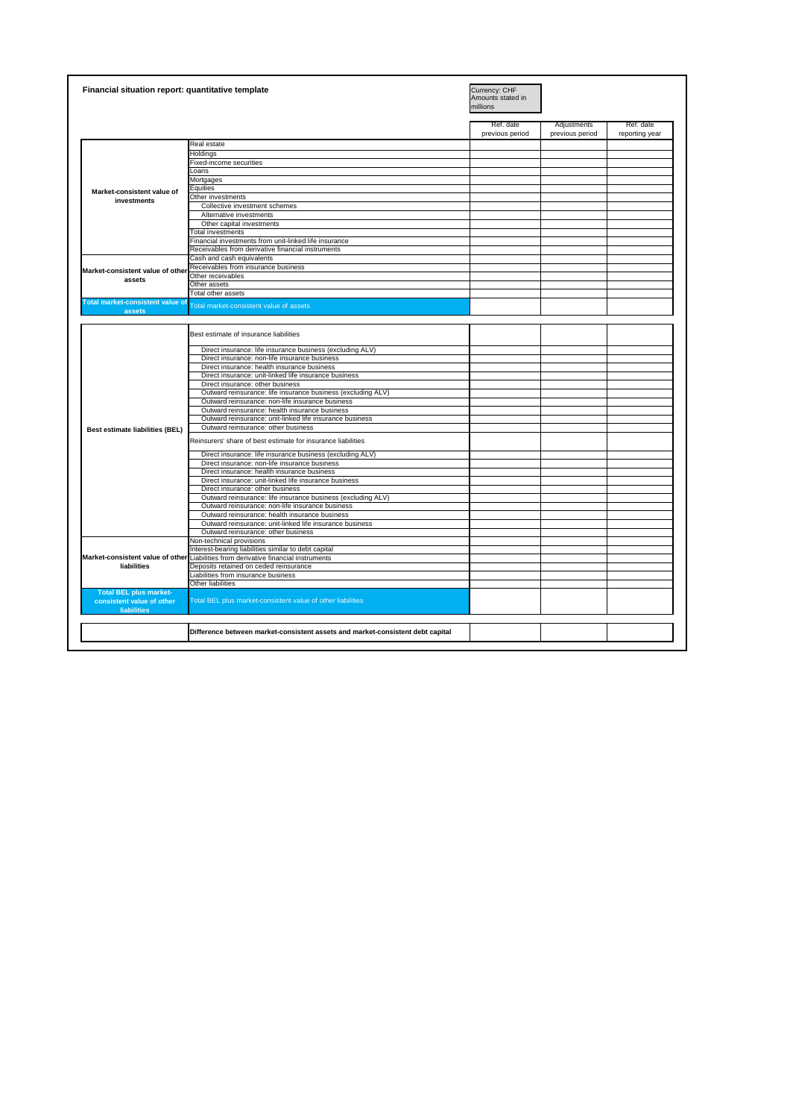| . IN:1<br>: capital<br>----<br>$\sim$<br><b>NONT</b><br>$\cdots$<br>Шč<br>энэксти аээстэ<br>.<br>.<br><i><b>CIIIV</b></i><br>ENG<br>. |  |  |
|---------------------------------------------------------------------------------------------------------------------------------------|--|--|
|                                                                                                                                       |  |  |

|                                                                                  | Financial situation report: quantitative template                                                | Currency: CHF<br>Amounts stated in<br>millions |                                |                             |
|----------------------------------------------------------------------------------|--------------------------------------------------------------------------------------------------|------------------------------------------------|--------------------------------|-----------------------------|
|                                                                                  |                                                                                                  | Ref. date<br>previous period                   | Adjustments<br>previous period | Ref. date<br>reporting year |
|                                                                                  | Real estate                                                                                      |                                                |                                |                             |
|                                                                                  | Holdings                                                                                         |                                                |                                |                             |
|                                                                                  | <b>Fixed-income securities</b>                                                                   |                                                |                                |                             |
|                                                                                  | Loans                                                                                            |                                                |                                |                             |
|                                                                                  | Mortgages                                                                                        |                                                |                                |                             |
|                                                                                  | Equities                                                                                         |                                                |                                |                             |
| Market-consistent value of                                                       | Other investments                                                                                |                                                |                                |                             |
| <b>investments</b>                                                               | Collective investment schemes                                                                    |                                                |                                |                             |
|                                                                                  |                                                                                                  |                                                |                                |                             |
|                                                                                  | Alternative investments                                                                          |                                                |                                |                             |
|                                                                                  | Other capital investments                                                                        |                                                |                                |                             |
|                                                                                  | <b>Total investments</b>                                                                         |                                                |                                |                             |
|                                                                                  | Financial investments from unit-linked life insurance                                            |                                                |                                |                             |
|                                                                                  | Receivables from derivative financial instruments                                                |                                                |                                |                             |
|                                                                                  | Cash and cash equivalents                                                                        |                                                |                                |                             |
| Market-consistent value of other                                                 | Receivables from insurance business                                                              |                                                |                                |                             |
|                                                                                  | Other receivables                                                                                |                                                |                                |                             |
| assets                                                                           | Other assets                                                                                     |                                                |                                |                             |
|                                                                                  | Total other assets                                                                               |                                                |                                |                             |
| <b>Total market-consistent value of</b>                                          | <b>Total market-consistent value of assets</b>                                                   |                                                |                                |                             |
| assets                                                                           |                                                                                                  |                                                |                                |                             |
|                                                                                  | Best estimate of insurance liabilities                                                           |                                                |                                |                             |
|                                                                                  | Direct insurance: life insurance business (excluding ALV)                                        |                                                |                                |                             |
|                                                                                  | Direct insurance: non-life insurance business                                                    |                                                |                                |                             |
|                                                                                  | Direct insurance: health insurance business                                                      |                                                |                                |                             |
|                                                                                  | Direct insurance: unit-linked life insurance business                                            |                                                |                                |                             |
|                                                                                  | Direct insurance: other business                                                                 |                                                |                                |                             |
|                                                                                  | Outward reinsurance: life insurance business (excluding ALV)                                     |                                                |                                |                             |
|                                                                                  | Outward reinsurance: non-life insurance business                                                 |                                                |                                |                             |
|                                                                                  | Outward reinsurance: health insurance business                                                   |                                                |                                |                             |
|                                                                                  | Outward reinsurance: unit-linked life insurance business                                         |                                                |                                |                             |
| <b>Best estimate liabilities (BEL)</b>                                           | Outward reinsurance: other business                                                              |                                                |                                |                             |
|                                                                                  | Reinsurers' share of best estimate for insurance liabilities                                     |                                                |                                |                             |
|                                                                                  | Direct insurance: life insurance business (excluding ALV)                                        |                                                |                                |                             |
|                                                                                  | Direct insurance: non-life insurance business                                                    |                                                |                                |                             |
|                                                                                  | Direct insurance: health insurance business                                                      |                                                |                                |                             |
|                                                                                  | Direct insurance: unit-linked life insurance business                                            |                                                |                                |                             |
|                                                                                  |                                                                                                  |                                                |                                |                             |
|                                                                                  | Direct insurance: other business<br>Outward reinsurance: life insurance business (excluding ALV) |                                                |                                |                             |
|                                                                                  |                                                                                                  |                                                |                                |                             |
|                                                                                  | Outward reinsurance: non-life insurance business                                                 |                                                |                                |                             |
|                                                                                  | Outward reinsurance: health insurance business                                                   |                                                |                                |                             |
|                                                                                  | Outward reinsurance: unit-linked life insurance business                                         |                                                |                                |                             |
|                                                                                  | Outward reinsurance: other business                                                              |                                                |                                |                             |
|                                                                                  | Non-technical provisions                                                                         |                                                |                                |                             |
|                                                                                  | Interest-bearing liabilities similar to debt capital                                             |                                                |                                |                             |
|                                                                                  | Market-consistent value of other Liabilities from derivative financial instruments               |                                                |                                |                             |
| liabilities                                                                      | Deposits retained on ceded reinsurance                                                           |                                                |                                |                             |
|                                                                                  | Liabilities from insurance business                                                              |                                                |                                |                             |
|                                                                                  | Other liabilities                                                                                |                                                |                                |                             |
| <b>Total BEL plus market-</b><br>consistent value of other<br><b>liabilities</b> | Total BEL plus market-consistent value of other liabilities                                      |                                                |                                |                             |